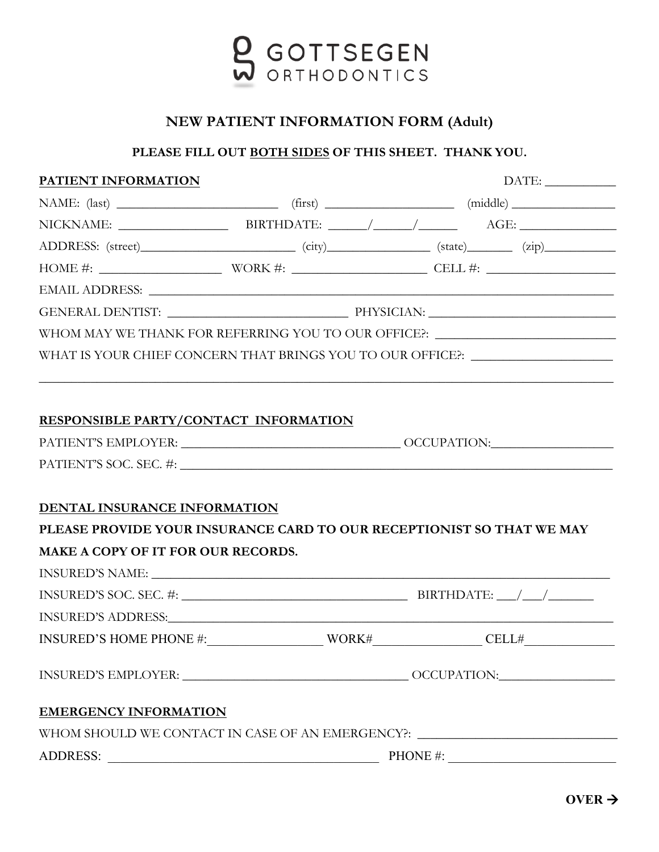

## **NEW PATIENT INFORMATION FORM (Adult)**

## **PLEASE FILL OUT BOTH SIDES OF THIS SHEET. THANK YOU.**

| PATIENT INFORMATION                   |                                                                              |                                                                                                                                           |
|---------------------------------------|------------------------------------------------------------------------------|-------------------------------------------------------------------------------------------------------------------------------------------|
|                                       |                                                                              |                                                                                                                                           |
|                                       |                                                                              |                                                                                                                                           |
|                                       |                                                                              |                                                                                                                                           |
|                                       |                                                                              |                                                                                                                                           |
|                                       |                                                                              |                                                                                                                                           |
|                                       |                                                                              |                                                                                                                                           |
|                                       |                                                                              | WHOM MAY WE THANK FOR REFERRING YOU TO OUR OFFICE?: $\_\_$                                                                                |
|                                       |                                                                              | WHAT IS YOUR CHIEF CONCERN THAT BRINGS YOU TO OUR OFFICE?: _____________________                                                          |
|                                       |                                                                              |                                                                                                                                           |
|                                       |                                                                              |                                                                                                                                           |
| RESPONSIBLE PARTY/CONTACT INFORMATION |                                                                              |                                                                                                                                           |
|                                       |                                                                              |                                                                                                                                           |
|                                       |                                                                              |                                                                                                                                           |
|                                       |                                                                              |                                                                                                                                           |
| DENTAL INSURANCE INFORMATION          |                                                                              |                                                                                                                                           |
|                                       |                                                                              | PLEASE PROVIDE YOUR INSURANCE CARD TO OUR RECEPTIONIST SO THAT WE MAY                                                                     |
| MAKE A COPY OF IT FOR OUR RECORDS.    |                                                                              |                                                                                                                                           |
|                                       |                                                                              |                                                                                                                                           |
|                                       |                                                                              | INSURED'S SOC. SEC. #: $\frac{1}{2}$ BIRTHDATE: $\frac{1}{2}$ BIRTHDATE:                                                                  |
|                                       |                                                                              |                                                                                                                                           |
|                                       |                                                                              | $\text{INSURED'S HOME PHONE } \#: \underline{\hspace{2cm}} \text{WORK}\# \underline{\hspace{2cm}} \text{CELL}\# \underline{\hspace{2cm}}$ |
|                                       |                                                                              |                                                                                                                                           |
|                                       |                                                                              |                                                                                                                                           |
| <b>EMERGENCY INFORMATION</b>          |                                                                              |                                                                                                                                           |
|                                       |                                                                              | WHOM SHOULD WE CONTACT IN CASE OF AN EMERGENCY?: ________________________________                                                         |
| ADDRESS:                              | <u> 1989 - Jan James James, politik eta idazleari eta idazlea (h. 1989).</u> | PHONE #: $\qquad \qquad$                                                                                                                  |